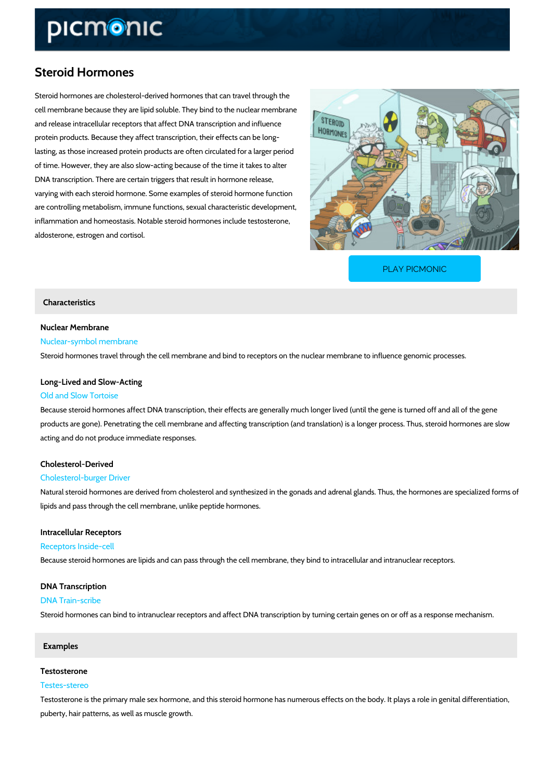# Steroid Hormones

Steroid hormones are cholesterol-derived hormones that can travel through the cell membrane because they are lipid soluble. They bind to the nuclear membrane and release intracellular receptors that affect DNA transcription and influence protein products. Because they affect transcription, their effects can be long lasting, as those increased protein products are often circulated for a larger period of time. However, they are also slow-acting because of the time it takes to alter DNA transcription. There are certain triggers that result in hormone release, varying with each steroid hormone. Some examples of steroid hormone function are controlling metabolism, immune functions, sexual characteristic development, inflammation and homeostasis. Notable steroid hormones include testosterone, aldosterone, estrogen and cortisol.

[PLAY PICMONIC](https://www.picmonic.com/learn/steroid-hormones_5113?utm_source=downloadable_content&utm_medium=distributedcontent&utm_campaign=pathways_pdf&utm_content=Steroid Hormones&utm_ad_group=leads&utm_market=all)

## Characteristics

# Nuclear Membrane

# Nuclear-symbol membrane

Steroid hormones travel through the cell membrane and bind to receptors on the nuclear memb

# Long-Lived and Slow-Acting Old and Slow Tortoise

# Because steroid hormones affect DNA transcription, their effects are generally much longer li products are gone). Penetrating the cell membrane and affecting transcription (and translation acting and do not produce immediate responses.

## Cholesterol-Derived

#### Cholesterol-burger Driver

Natural steroid hormones are derived from cholesterol and synthesized in the gonads and adre lipids and pass through the cell membrane, unlike peptide hormones.

# Intracellular Receptors

#### Receptors Inside-cell

Because steroid hormones are lipids and can pass through the cell membrane, they bind to int

# DNA Transcription

## DNA Train-scribe

Steroid hormones can bind to intranuclear receptors and affect DNA transcription by turning c

#### Examples

#### Testosterone

#### Testes-stereo

Testosterone is the primary male sex hormone, and this steroid hormone has numerous effects puberty, hair patterns, as well as muscle growth.